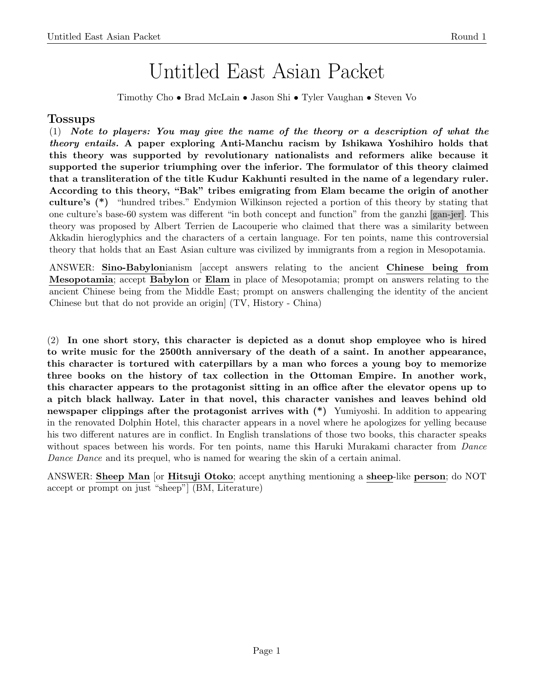## Untitled East Asian Packet

Timothy Cho • Brad McLain • Jason Shi • Tyler Vaughan • Steven Vo

## Tossups

(1) Note to players: You may give the name of the theory or a description of what the theory entails. A paper exploring Anti-Manchu racism by Ishikawa Yoshihiro holds that this theory was supported by revolutionary nationalists and reformers alike because it supported the superior triumphing over the inferior. The formulator of this theory claimed that a transliteration of the title Kudur Kakhunti resulted in the name of a legendary ruler. According to this theory, "Bak" tribes emigrating from Elam became the origin of another culture's (\*) "hundred tribes." Endymion Wilkinson rejected a portion of this theory by stating that one culture's base-60 system was different "in both concept and function" from the ganzhi [gan-jer]. This theory was proposed by Albert Terrien de Lacouperie who claimed that there was a similarity between Akkadin hieroglyphics and the characters of a certain language. For ten points, name this controversial theory that holds that an East Asian culture was civilized by immigrants from a region in Mesopotamia.

ANSWER: Sino-Babylonianism [accept answers relating to the ancient Chinese being from Mesopotamia; accept Babylon or Elam in place of Mesopotamia; prompt on answers relating to the ancient Chinese being from the Middle East; prompt on answers challenging the identity of the ancient Chinese but that do not provide an origin] (TV, History - China)

(2) In one short story, this character is depicted as a donut shop employee who is hired to write music for the 2500th anniversary of the death of a saint. In another appearance, this character is tortured with caterpillars by a man who forces a young boy to memorize three books on the history of tax collection in the Ottoman Empire. In another work, this character appears to the protagonist sitting in an office after the elevator opens up to a pitch black hallway. Later in that novel, this character vanishes and leaves behind old newspaper clippings after the protagonist arrives with (\*) Yumiyoshi. In addition to appearing in the renovated Dolphin Hotel, this character appears in a novel where he apologizes for yelling because his two different natures are in conflict. In English translations of those two books, this character speaks without spaces between his words. For ten points, name this Haruki Murakami character from *Dance* Dance Dance and its prequel, who is named for wearing the skin of a certain animal.

ANSWER: Sheep Man [or Hitsuji Otoko; accept anything mentioning a sheep-like person; do NOT accept or prompt on just "sheep"] (BM, Literature)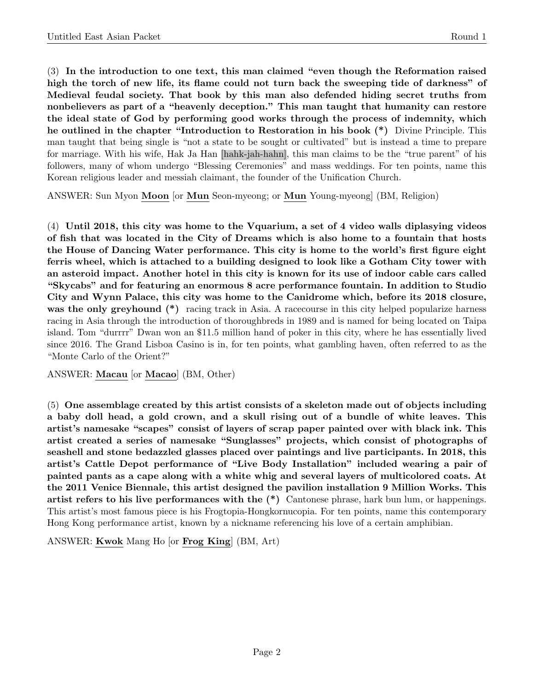(3) In the introduction to one text, this man claimed "even though the Reformation raised high the torch of new life, its flame could not turn back the sweeping tide of darkness" of Medieval feudal society. That book by this man also defended hiding secret truths from nonbelievers as part of a "heavenly deception." This man taught that humanity can restore the ideal state of God by performing good works through the process of indemnity, which he outlined in the chapter "Introduction to Restoration in his book (\*) Divine Principle. This man taught that being single is "not a state to be sought or cultivated" but is instead a time to prepare for marriage. With his wife, Hak Ja Han [hahk-jah-hahn], this man claims to be the "true parent" of his followers, many of whom undergo "Blessing Ceremonies" and mass weddings. For ten points, name this Korean religious leader and messiah claimant, the founder of the Unification Church.

ANSWER: Sun Myon Moon [or Mun Seon-myeong; or Mun Young-myeong] (BM, Religion)

(4) Until 2018, this city was home to the Vquarium, a set of 4 video walls diplasying videos of fish that was located in the City of Dreams which is also home to a fountain that hosts the House of Dancing Water performance. This city is home to the world's first figure eight ferris wheel, which is attached to a building designed to look like a Gotham City tower with an asteroid impact. Another hotel in this city is known for its use of indoor cable cars called "Skycabs" and for featuring an enormous 8 acre performance fountain. In addition to Studio City and Wynn Palace, this city was home to the Canidrome which, before its 2018 closure, was the only greyhound (\*) racing track in Asia. A racecourse in this city helped popularize harness racing in Asia through the introduction of thoroughbreds in 1989 and is named for being located on Taipa island. Tom "durrrr" Dwan won an \$11.5 million hand of poker in this city, where he has essentially lived since 2016. The Grand Lisboa Casino is in, for ten points, what gambling haven, often referred to as the "Monte Carlo of the Orient?"

ANSWER: Macau [or Macao] (BM, Other)

(5) One assemblage created by this artist consists of a skeleton made out of objects including a baby doll head, a gold crown, and a skull rising out of a bundle of white leaves. This artist's namesake "scapes" consist of layers of scrap paper painted over with black ink. This artist created a series of namesake "Sunglasses" projects, which consist of photographs of seashell and stone bedazzled glasses placed over paintings and live participants. In 2018, this artist's Cattle Depot performance of "Live Body Installation" included wearing a pair of painted pants as a cape along with a white whig and several layers of multicolored coats. At the 2011 Venice Biennale, this artist designed the pavilion installation 9 Million Works. This artist refers to his live performances with the (\*) Cantonese phrase, hark bun lum, or happenings. This artist's most famous piece is his Frogtopia-Hongkornucopia. For ten points, name this contemporary Hong Kong performance artist, known by a nickname referencing his love of a certain amphibian.

ANSWER: Kwok Mang Ho [or Frog King] (BM, Art)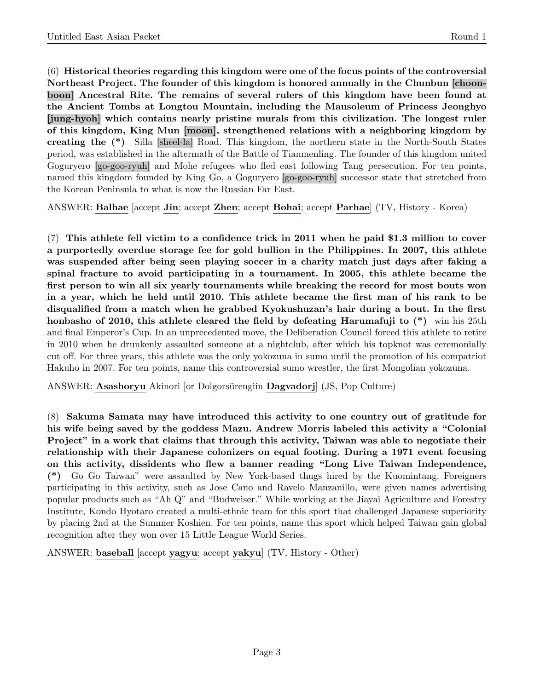(6) Historical theories regarding this kingdom were one of the focus points of the controversial Northeast Project. The founder of this kingdom is honored annually in the Chunbun [choonboon] Ancestral Rite. The remains of several rulers of this kingdom have been found at the Ancient Tombs at Longtou Mountain, including the Mausoleum of Princess Jeonghyo [jung-hyoh] which contains nearly pristine murals from this civilization. The longest ruler of this kingdom, King Mun [moon], strengthened relations with a neighboring kingdom by creating the (\*) Silla [sheel-la] Road. This kingdom, the northern state in the North-South States period, was established in the aftermath of the Battle of Tianmenling. The founder of this kingdom united Goguryero [go-goo-ryuh] and Mohe refugees who fled east following Tang persecution. For ten points, named this kingdom founded by King Go, a Goguryero [go-goo-ryuh] successor state that stretched from the Korean Peninsula to what is now the Russian Far East.

ANSWER: Balhae [accept Jin; accept Zhen; accept Bohai; accept Parhae] (TV, History - Korea)

(7) This athlete fell victim to a confidence trick in 2011 when he paid \$1.3 million to cover a purportedly overdue storage fee for gold bullion in the Philippines. In 2007, this athlete was suspended after being seen playing soccer in a charity match just days after faking a spinal fracture to avoid participating in a tournament. In 2005, this athlete became the first person to win all six yearly tournaments while breaking the record for most bouts won in a year, which he held until 2010. This athlete became the first man of his rank to be disqualified from a match when he grabbed Kyokushuzan's hair during a bout. In the first honbasho of 2010, this athlete cleared the field by defeating Harumafuji to  $(*)$  win his 25th and final Emperor's Cup. In an unprecedented move, the Deliberation Council forced this athlete to retire in 2010 when he drunkenly assaulted someone at a nightclub, after which his topknot was ceremonially cut off. For three years, this athlete was the only yokozuna in sumo until the promotion of his compatriot Hakuho in 2007. For ten points, name this controversial sumo wrestler, the first Mongolian yokozuna.

ANSWER: Asashoryu Akinori or Dolgorsürengiin Dagvadorj (JS, Pop Culture)

(8) Sakuma Samata may have introduced this activity to one country out of gratitude for his wife being saved by the goddess Mazu. Andrew Morris labeled this activity a "Colonial Project" in a work that claims that through this activity, Taiwan was able to negotiate their relationship with their Japanese colonizers on equal footing. During a 1971 event focusing on this activity, dissidents who flew a banner reading "Long Live Taiwan Independence, (\*) Go Go Taiwan" were assaulted by New York-based thugs hired by the Kuomintang. Foreigners participating in this activity, such as Jose Cano and Ravelo Manzanillo, were given names advertising popular products such as "Ah Q" and "Budweiser." While working at the Jiayai Agriculture and Forestry Institute, Kondo Hyotaro created a multi-ethnic team for this sport that challenged Japanese superiority by placing 2nd at the Summer Koshien. For ten points, name this sport which helped Taiwan gain global recognition after they won over 15 Little League World Series.

ANSWER: baseball [accept yagyu; accept yakyu] (TV, History - Other)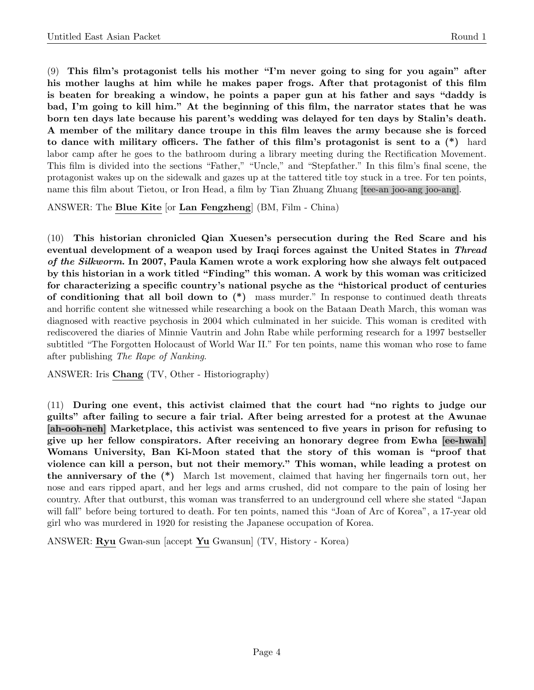(9) This film's protagonist tells his mother "I'm never going to sing for you again" after his mother laughs at him while he makes paper frogs. After that protagonist of this film is beaten for breaking a window, he points a paper gun at his father and says "daddy is bad, I'm going to kill him." At the beginning of this film, the narrator states that he was born ten days late because his parent's wedding was delayed for ten days by Stalin's death. A member of the military dance troupe in this film leaves the army because she is forced to dance with military officers. The father of this film's protagonist is sent to a (\*) hard labor camp after he goes to the bathroom during a library meeting during the Rectification Movement. This film is divided into the sections "Father," "Uncle," and "Stepfather." In this film's final scene, the protagonist wakes up on the sidewalk and gazes up at the tattered title toy stuck in a tree. For ten points, name this film about Tietou, or Iron Head, a film by Tian Zhuang Zhuang [tee-an joo-ang joo-ang].

ANSWER: The Blue Kite [or Lan Fengzheng] (BM, Film - China)

(10) This historian chronicled Qian Xuesen's persecution during the Red Scare and his eventual development of a weapon used by Iraqi forces against the United States in Thread of the Silkworm. In 2007, Paula Kamen wrote a work exploring how she always felt outpaced by this historian in a work titled "Finding" this woman. A work by this woman was criticized for characterizing a specific country's national psyche as the "historical product of centuries of conditioning that all boil down to (\*) mass murder." In response to continued death threats and horrific content she witnessed while researching a book on the Bataan Death March, this woman was diagnosed with reactive psychosis in 2004 which culminated in her suicide. This woman is credited with rediscovered the diaries of Minnie Vautrin and John Rabe while performing research for a 1997 bestseller subtitled "The Forgotten Holocaust of World War II." For ten points, name this woman who rose to fame after publishing The Rape of Nanking.

ANSWER: Iris Chang (TV, Other - Historiography)

(11) During one event, this activist claimed that the court had "no rights to judge our guilts" after failing to secure a fair trial. After being arrested for a protest at the Awunae [ah-ooh-neh] Marketplace, this activist was sentenced to five years in prison for refusing to give up her fellow conspirators. After receiving an honorary degree from Ewha [ee-hwah] Womans University, Ban Ki-Moon stated that the story of this woman is "proof that violence can kill a person, but not their memory." This woman, while leading a protest on the anniversary of the (\*) March 1st movement, claimed that having her fingernails torn out, her nose and ears ripped apart, and her legs and arms crushed, did not compare to the pain of losing her country. After that outburst, this woman was transferred to an underground cell where she stated "Japan will fall" before being tortured to death. For ten points, named this "Joan of Arc of Korea", a 17-year old girl who was murdered in 1920 for resisting the Japanese occupation of Korea.

ANSWER: Ryu Gwan-sun [accept Yu Gwansun] (TV, History - Korea)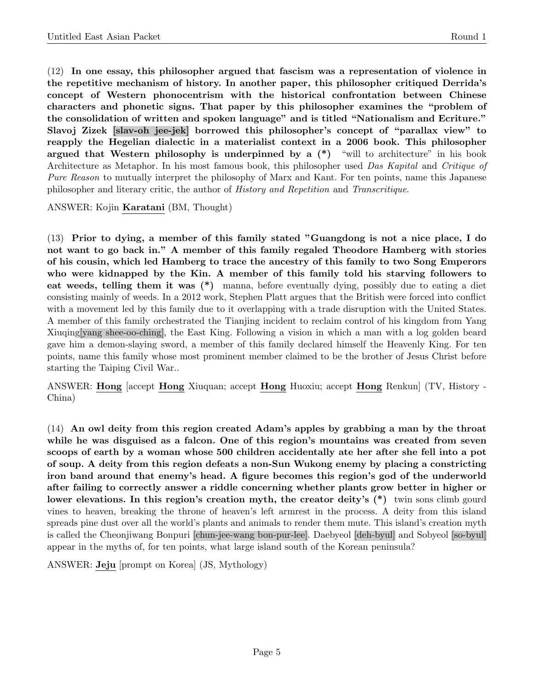(12) In one essay, this philosopher argued that fascism was a representation of violence in the repetitive mechanism of history. In another paper, this philosopher critiqued Derrida's concept of Western phonocentrism with the historical confrontation between Chinese characters and phonetic signs. That paper by this philosopher examines the "problem of the consolidation of written and spoken language" and is titled "Nationalism and Ecriture." Slavoj Zizek [slav-oh jee-jek] borrowed this philosopher's concept of "parallax view" to reapply the Hegelian dialectic in a materialist context in a 2006 book. This philosopher argued that Western philosophy is underpinned by a  $(*)$  "will to architecture" in his book Architecture as Metaphor. In his most famous book, this philosopher used Das Kapital and Critique of Pure Reason to mutually interpret the philosophy of Marx and Kant. For ten points, name this Japanese philosopher and literary critic, the author of History and Repetition and Transcritique.

ANSWER: Kojin Karatani (BM, Thought)

(13) Prior to dying, a member of this family stated "Guangdong is not a nice place, I do not want to go back in." A member of this family regaled Theodore Hamberg with stories of his cousin, which led Hamberg to trace the ancestry of this family to two Song Emperors who were kidnapped by the Kin. A member of this family told his starving followers to eat weeds, telling them it was (\*) manna, before eventually dying, possibly due to eating a diet consisting mainly of weeds. In a 2012 work, Stephen Platt argues that the British were forced into conflict with a movement led by this family due to it overlapping with a trade disruption with the United States. A member of this family orchestrated the Tianjing incident to reclaim control of his kingdom from Yang Xiuqing[yang shee-oo-ching], the East King. Following a vision in which a man with a log golden beard gave him a demon-slaying sword, a member of this family declared himself the Heavenly King. For ten points, name this family whose most prominent member claimed to be the brother of Jesus Christ before starting the Taiping Civil War..

ANSWER: Hong [accept Hong Xiuquan; accept Hong Huoxiu; accept Hong Renkun] (TV, History - China)

(14) An owl deity from this region created Adam's apples by grabbing a man by the throat while he was disguised as a falcon. One of this region's mountains was created from seven scoops of earth by a woman whose 500 children accidentally ate her after she fell into a pot of soup. A deity from this region defeats a non-Sun Wukong enemy by placing a constricting iron band around that enemy's head. A figure becomes this region's god of the underworld after failing to correctly answer a riddle concerning whether plants grow better in higher or lower elevations. In this region's creation myth, the creator deity's  $(*)$  twin sons climb gourd vines to heaven, breaking the throne of heaven's left armrest in the process. A deity from this island spreads pine dust over all the world's plants and animals to render them mute. This island's creation myth is called the Cheonjiwang Bonpuri [chun-jee-wang bon-pur-lee]. Daebyeol [deh-byul] and Sobyeol [so-byul] appear in the myths of, for ten points, what large island south of the Korean peninsula?

ANSWER: Jeju [prompt on Korea] (JS, Mythology)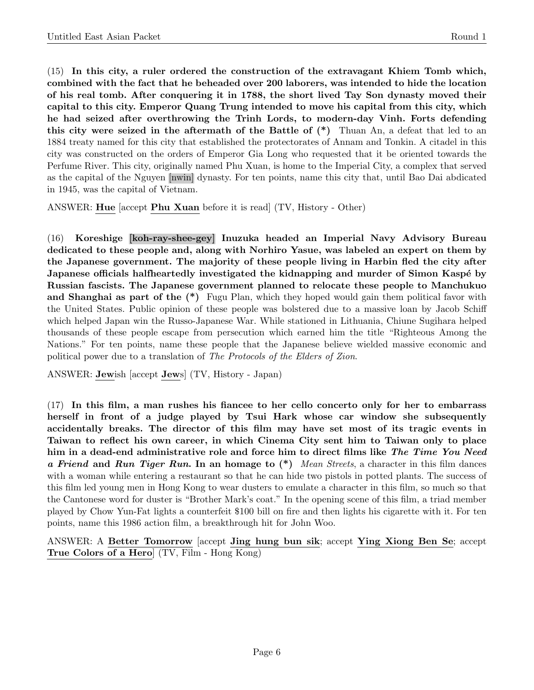(15) In this city, a ruler ordered the construction of the extravagant Khiem Tomb which, combined with the fact that he beheaded over 200 laborers, was intended to hide the location of his real tomb. After conquering it in 1788, the short lived Tay Son dynasty moved their capital to this city. Emperor Quang Trung intended to move his capital from this city, which he had seized after overthrowing the Trinh Lords, to modern-day Vinh. Forts defending this city were seized in the aftermath of the Battle of  $(*)$  Thuan An, a defeat that led to an 1884 treaty named for this city that established the protectorates of Annam and Tonkin. A citadel in this city was constructed on the orders of Emperor Gia Long who requested that it be oriented towards the Perfume River. This city, originally named Phu Xuan, is home to the Imperial City, a complex that served as the capital of the Nguyen [nwin] dynasty. For ten points, name this city that, until Bao Dai abdicated in 1945, was the capital of Vietnam.

ANSWER: Hue [accept Phu Xuan before it is read] (TV, History - Other)

(16) Koreshige [koh-ray-shee-gey] Inuzuka headed an Imperial Navy Advisory Bureau dedicated to these people and, along with Norhiro Yasue, was labeled an expert on them by the Japanese government. The majority of these people living in Harbin fled the city after Japanese officials halfheartedly investigated the kidnapping and murder of Simon Kaspé by Russian fascists. The Japanese government planned to relocate these people to Manchukuo and Shanghai as part of the  $(*)$  Fugu Plan, which they hoped would gain them political favor with the United States. Public opinion of these people was bolstered due to a massive loan by Jacob Schiff which helped Japan win the Russo-Japanese War. While stationed in Lithuania, Chiune Sugihara helped thousands of these people escape from persecution which earned him the title "Righteous Among the Nations." For ten points, name these people that the Japanese believe wielded massive economic and political power due to a translation of The Protocols of the Elders of Zion.

ANSWER: Jewish [accept Jews] (TV, History - Japan)

(17) In this film, a man rushes his fiancee to her cello concerto only for her to embarrass herself in front of a judge played by Tsui Hark whose car window she subsequently accidentally breaks. The director of this film may have set most of its tragic events in Taiwan to reflect his own career, in which Cinema City sent him to Taiwan only to place him in a dead-end administrative role and force him to direct films like The Time You Need a Friend and Run Tiger Run. In an homage to  $(*)$  Mean Streets, a character in this film dances with a woman while entering a restaurant so that he can hide two pistols in potted plants. The success of this film led young men in Hong Kong to wear dusters to emulate a character in this film, so much so that the Cantonese word for duster is "Brother Mark's coat." In the opening scene of this film, a triad member played by Chow Yun-Fat lights a counterfeit \$100 bill on fire and then lights his cigarette with it. For ten points, name this 1986 action film, a breakthrough hit for John Woo.

ANSWER: A Better Tomorrow [accept Jing hung bun sik; accept Ying Xiong Ben Se; accept True Colors of a Hero] (TV, Film - Hong Kong)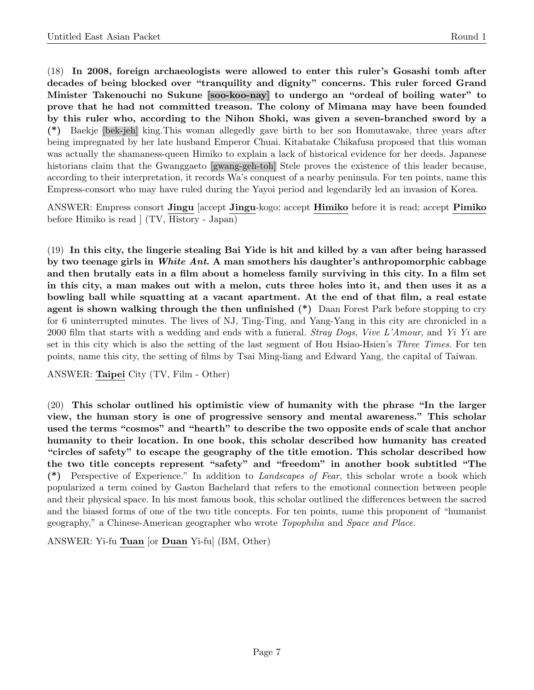(18) In 2008, foreign archaeologists were allowed to enter this ruler's Gosashi tomb after decades of being blocked over "tranquility and dignity" concerns. This ruler forced Grand Minister Takenouchi no Sukune [soo-koo-nay] to undergo an "ordeal of boiling water" to prove that he had not committed treason. The colony of Mimana may have been founded by this ruler who, according to the Nihon Shoki, was given a seven-branched sword by a (\*) Baekje [bek-jeh] king.This woman allegedly gave birth to her son Homutawake, three years after being impregnated by her late husband Emperor Chuai. Kitabatake Chikafusa proposed that this woman was actually the shamaness-queen Himiko to explain a lack of historical evidence for her deeds. Japanese historians claim that the Gwanggaeto [gwang-geh-toh] Stele proves the existence of this leader because, according to their interpretation, it records Wa's conquest of a nearby peninsula. For ten points, name this Empress-consort who may have ruled during the Yayoi period and legendarily led an invasion of Korea.

ANSWER: Empress consort Jingu [accept Jingu-kogo; accept Himiko before it is read; accept Pimiko before Himiko is read ] (TV, History - Japan)

(19) In this city, the lingerie stealing Bai Yide is hit and killed by a van after being harassed by two teenage girls in White Ant. A man smothers his daughter's anthropomorphic cabbage and then brutally eats in a film about a homeless family surviving in this city. In a film set in this city, a man makes out with a melon, cuts three holes into it, and then uses it as a bowling ball while squatting at a vacant apartment. At the end of that film, a real estate agent is shown walking through the then unfinished (\*) Daan Forest Park before stopping to cry for 6 uninterrupted minutes. The lives of NJ, Ting-Ting, and Yang-Yang in this city are chronicled in a 2000 film that starts with a wedding and ends with a funeral. Stray Dogs, Vive L'Amour, and Yi Yi are set in this city which is also the setting of the last segment of Hou Hsiao-Hsien's Three Times. For ten points, name this city, the setting of films by Tsai Ming-liang and Edward Yang, the capital of Taiwan.

ANSWER: Taipei City (TV, Film - Other)

(20) This scholar outlined his optimistic view of humanity with the phrase "In the larger view, the human story is one of progressive sensory and mental awareness." This scholar used the terms "cosmos" and "hearth" to describe the two opposite ends of scale that anchor humanity to their location. In one book, this scholar described how humanity has created "circles of safety" to escape the geography of the title emotion. This scholar described how the two title concepts represent "safety" and "freedom" in another book subtitled "The (\*) Perspective of Experience." In addition to Landscapes of Fear, this scholar wrote a book which popularized a term coined by Gaston Bachelard that refers to the emotional connection between people and their physical space. In his most famous book, this scholar outlined the differences between the sacred and the biased forms of one of the two title concepts. For ten points, name this proponent of "humanist geography," a Chinese-American geographer who wrote Topophilia and Space and Place.

ANSWER: Yi-fu Tuan [or Duan Yi-fu] (BM, Other)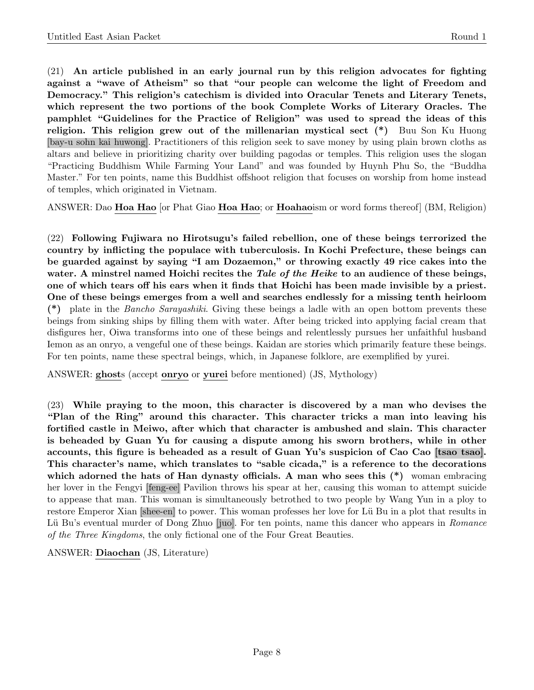(21) An article published in an early journal run by this religion advocates for fighting against a "wave of Atheism" so that "our people can welcome the light of Freedom and Democracy." This religion's catechism is divided into Oracular Tenets and Literary Tenets, which represent the two portions of the book Complete Works of Literary Oracles. The pamphlet "Guidelines for the Practice of Religion" was used to spread the ideas of this religion. This religion grew out of the millenarian mystical sect (\*) Buu Son Ku Huong [bay-u sohn kai huwong]. Practitioners of this religion seek to save money by using plain brown cloths as altars and believe in prioritizing charity over building pagodas or temples. This religion uses the slogan "Practicing Buddhism While Farming Your Land" and was founded by Huynh Phu So, the "Buddha Master." For ten points, name this Buddhist offshoot religion that focuses on worship from home instead of temples, which originated in Vietnam.

ANSWER: Dao Hoa Hao [or Phat Giao Hoa Hao; or Hoahaoism or word forms thereof] (BM, Religion)

(22) Following Fujiwara no Hirotsugu's failed rebellion, one of these beings terrorized the country by inflicting the populace with tuberculosis. In Kochi Prefecture, these beings can be guarded against by saying "I am Dozaemon," or throwing exactly 49 rice cakes into the water. A minstrel named Hoichi recites the Tale of the Heike to an audience of these beings, one of which tears off his ears when it finds that Hoichi has been made invisible by a priest. One of these beings emerges from a well and searches endlessly for a missing tenth heirloom (\*) plate in the Bancho Sarayashiki. Giving these beings a ladle with an open bottom prevents these beings from sinking ships by filling them with water. After being tricked into applying facial cream that disfigures her, Oiwa transforms into one of these beings and relentlessly pursues her unfaithful husband Iemon as an onryo, a vengeful one of these beings. Kaidan are stories which primarily feature these beings. For ten points, name these spectral beings, which, in Japanese folklore, are exemplified by yurei.

ANSWER: ghosts (accept onryo or yurei before mentioned) (JS, Mythology)

(23) While praying to the moon, this character is discovered by a man who devises the "Plan of the Ring" around this character. This character tricks a man into leaving his fortified castle in Meiwo, after which that character is ambushed and slain. This character is beheaded by Guan Yu for causing a dispute among his sworn brothers, while in other accounts, this figure is beheaded as a result of Guan Yu's suspicion of Cao Cao [tsao tsao]. This character's name, which translates to "sable cicada," is a reference to the decorations which adorned the hats of Han dynasty officials. A man who sees this  $(*)$  woman embracing her lover in the Fengyi [feng-ee] Pavilion throws his spear at her, causing this woman to attempt suicide to appease that man. This woman is simultaneously betrothed to two people by Wang Yun in a ploy to restore Emperor Xian [shee-en] to power. This woman professes her love for Lü Bu in a plot that results in Lü Bu's eventual murder of Dong Zhuo [juo]. For ten points, name this dancer who appears in Romance of the Three Kingdoms, the only fictional one of the Four Great Beauties.

ANSWER: Diaochan (JS, Literature)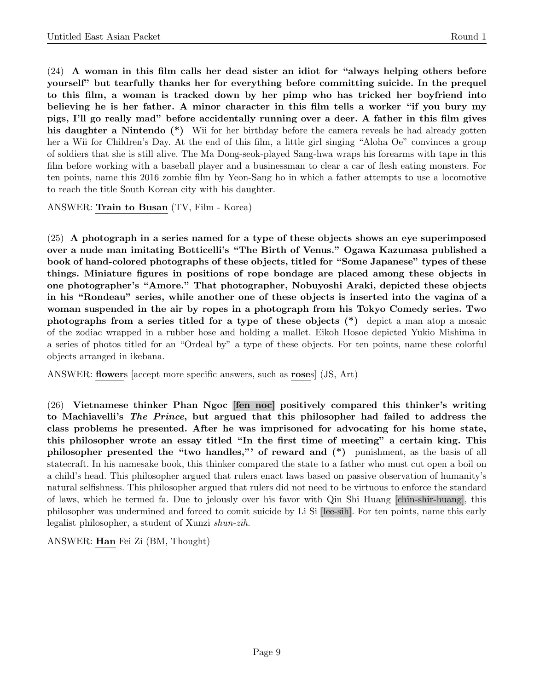(24) A woman in this film calls her dead sister an idiot for "always helping others before yourself" but tearfully thanks her for everything before committing suicide. In the prequel to this film, a woman is tracked down by her pimp who has tricked her boyfriend into believing he is her father. A minor character in this film tells a worker "if you bury my pigs, I'll go really mad" before accidentally running over a deer. A father in this film gives his daughter a Nintendo (\*) Wii for her birthday before the camera reveals he had already gotten her a Wii for Children's Day. At the end of this film, a little girl singing "Aloha Oe" convinces a group of soldiers that she is still alive. The Ma Dong-seok-played Sang-hwa wraps his forearms with tape in this film before working with a baseball player and a businessman to clear a car of flesh eating monsters. For ten points, name this 2016 zombie film by Yeon-Sang ho in which a father attempts to use a locomotive to reach the title South Korean city with his daughter.

ANSWER: Train to Busan (TV, Film - Korea)

(25) A photograph in a series named for a type of these objects shows an eye superimposed over a nude man imitating Botticelli's "The Birth of Venus." Ogawa Kazumasa published a book of hand-colored photographs of these objects, titled for "Some Japanese" types of these things. Miniature figures in positions of rope bondage are placed among these objects in one photographer's "Amore." That photographer, Nobuyoshi Araki, depicted these objects in his "Rondeau" series, while another one of these objects is inserted into the vagina of a woman suspended in the air by ropes in a photograph from his Tokyo Comedy series. Two photographs from a series titled for a type of these objects (\*) depict a man atop a mosaic of the zodiac wrapped in a rubber hose and holding a mallet. Eikoh Hosoe depicted Yukio Mishima in a series of photos titled for an "Ordeal by" a type of these objects. For ten points, name these colorful objects arranged in ikebana.

ANSWER: flowers [accept more specific answers, such as roses] (JS, Art)

(26) Vietnamese thinker Phan Ngoc [fen noc] positively compared this thinker's writing to Machiavelli's The Prince, but argued that this philosopher had failed to address the class problems he presented. After he was imprisoned for advocating for his home state, this philosopher wrote an essay titled "In the first time of meeting" a certain king. This philosopher presented the "two handles,"' of reward and (\*) punishment, as the basis of all statecraft. In his namesake book, this thinker compared the state to a father who must cut open a boil on a child's head. This philosopher argued that rulers enact laws based on passive observation of humanity's natural selfishness. This philosopher argued that rulers did not need to be virtuous to enforce the standard of laws, which he termed fa. Due to jelously over his favor with Qin Shi Huang [chin-shir-huang], this philosopher was undermined and forced to comit suicide by Li Si [lee-sih]. For ten points, name this early legalist philosopher, a student of Xunzi shun-zih.

ANSWER: Han Fei Zi (BM, Thought)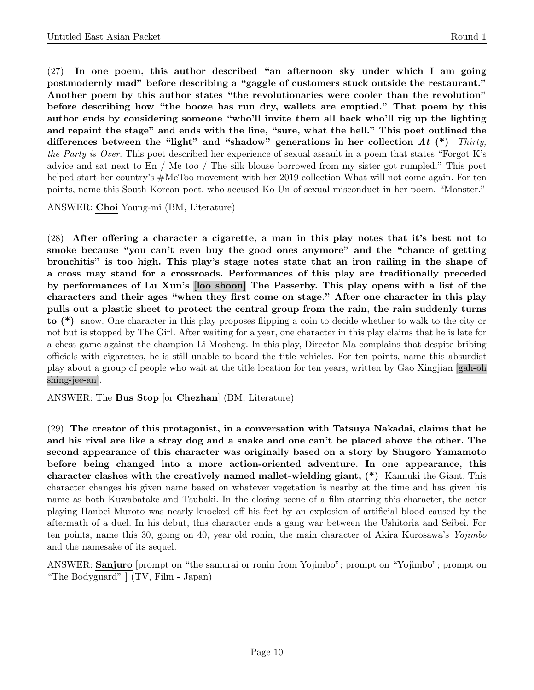(27) In one poem, this author described "an afternoon sky under which I am going postmodernly mad" before describing a "gaggle of customers stuck outside the restaurant." Another poem by this author states "the revolutionaries were cooler than the revolution" before describing how "the booze has run dry, wallets are emptied." That poem by this author ends by considering someone "who'll invite them all back who'll rig up the lighting and repaint the stage" and ends with the line, "sure, what the hell." This poet outlined the differences between the "light" and "shadow" generations in her collection  $At$  (\*) Thirty, the Party is Over. This poet described her experience of sexual assault in a poem that states "Forgot K's advice and sat next to En / Me too / The silk blouse borrowed from my sister got rumpled." This poet helped start her country's  $\#$ MeToo movement with her 2019 collection What will not come again. For ten points, name this South Korean poet, who accused Ko Un of sexual misconduct in her poem, "Monster."

ANSWER: Choi Young-mi (BM, Literature)

(28) After offering a character a cigarette, a man in this play notes that it's best not to smoke because "you can't even buy the good ones anymore" and the "chance of getting bronchitis" is too high. This play's stage notes state that an iron railing in the shape of a cross may stand for a crossroads. Performances of this play are traditionally preceded by performances of Lu Xun's [loo shoon] The Passerby. This play opens with a list of the characters and their ages "when they first come on stage." After one character in this play pulls out a plastic sheet to protect the central group from the rain, the rain suddenly turns to (\*) snow. One character in this play proposes flipping a coin to decide whether to walk to the city or not but is stopped by The Girl. After waiting for a year, one character in this play claims that he is late for a chess game against the champion Li Mosheng. In this play, Director Ma complains that despite bribing officials with cigarettes, he is still unable to board the title vehicles. For ten points, name this absurdist play about a group of people who wait at the title location for ten years, written by Gao Xingjian [gah-oh shing-jee-an].

ANSWER: The Bus Stop [or Chezhan] (BM, Literature)

(29) The creator of this protagonist, in a conversation with Tatsuya Nakadai, claims that he and his rival are like a stray dog and a snake and one can't be placed above the other. The second appearance of this character was originally based on a story by Shugoro Yamamoto before being changed into a more action-oriented adventure. In one appearance, this character clashes with the creatively named mallet-wielding giant, (\*) Kannuki the Giant. This character changes his given name based on whatever vegetation is nearby at the time and has given his name as both Kuwabatake and Tsubaki. In the closing scene of a film starring this character, the actor playing Hanbei Muroto was nearly knocked off his feet by an explosion of artificial blood caused by the aftermath of a duel. In his debut, this character ends a gang war between the Ushitoria and Seibei. For ten points, name this 30, going on 40, year old ronin, the main character of Akira Kurosawa's Yojimbo and the namesake of its sequel.

ANSWER: Sanjuro [prompt on "the samurai or ronin from Yojimbo"; prompt on "Yojimbo"; prompt on "The Bodyguard" ] (TV, Film - Japan)